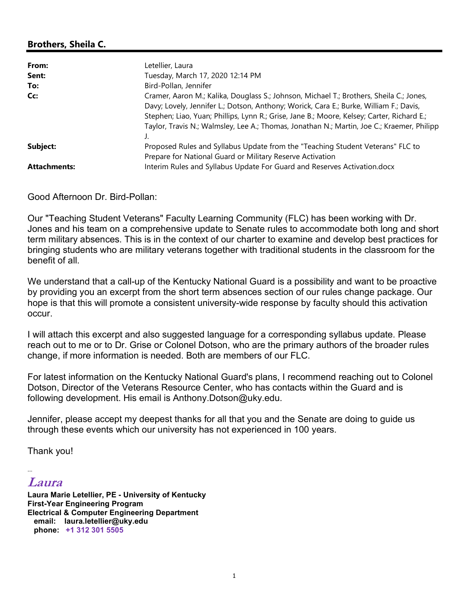## Brothers, Sheila C.

| From:               | Letellier, Laura                                                                                                                                                                                                                                                                                                                                                              |
|---------------------|-------------------------------------------------------------------------------------------------------------------------------------------------------------------------------------------------------------------------------------------------------------------------------------------------------------------------------------------------------------------------------|
| Sent:               | Tuesday, March 17, 2020 12:14 PM                                                                                                                                                                                                                                                                                                                                              |
| To:                 | Bird-Pollan, Jennifer                                                                                                                                                                                                                                                                                                                                                         |
| Cc:                 | Cramer, Aaron M.; Kalika, Douglass S.; Johnson, Michael T.; Brothers, Sheila C.; Jones,<br>Davy; Lovely, Jennifer L.; Dotson, Anthony; Worick, Cara E.; Burke, William F.; Davis,<br>Stephen; Liao, Yuan; Phillips, Lynn R.; Grise, Jane B.; Moore, Kelsey; Carter, Richard E.;<br>Taylor, Travis N.; Walmsley, Lee A.; Thomas, Jonathan N.; Martin, Joe C.; Kraemer, Philipp |
| Subject:            | Proposed Rules and Syllabus Update from the "Teaching Student Veterans" FLC to<br>Prepare for National Guard or Military Reserve Activation                                                                                                                                                                                                                                   |
| <b>Attachments:</b> | Interim Rules and Syllabus Update For Guard and Reserves Activation.docx                                                                                                                                                                                                                                                                                                      |

Good Afternoon Dr. Bird-Pollan:

Our "Teaching Student Veterans" Faculty Learning Community (FLC) has been working with Dr. Jones and his team on a comprehensive update to Senate rules to accommodate both long and short term military absences. This is in the context of our charter to examine and develop best practices for bringing students who are military veterans together with traditional students in the classroom for the benefit of all.

We understand that a call-up of the Kentucky National Guard is a possibility and want to be proactive by providing you an excerpt from the short term absences section of our rules change package. Our hope is that this will promote a consistent university-wide response by faculty should this activation occur.

I will attach this excerpt and also suggested language for a corresponding syllabus update. Please reach out to me or to Dr. Grise or Colonel Dotson, who are the primary authors of the broader rules change, if more information is needed. Both are members of our FLC.

For latest information on the Kentucky National Guard's plans, I recommend reaching out to Colonel Dotson, Director of the Veterans Resource Center, who has contacts within the Guard and is following development. His email is Anthony.Dotson@uky.edu.

Jennifer, please accept my deepest thanks for all that you and the Senate are doing to guide us through these events which our university has not experienced in 100 years.

Thank you!

## -- Laura

Laura Marie Letellier, PE - University of Kentucky First-Year Engineering Program Electrical & Computer Engineering Department email: laura.letellier@uky.edu phone: +1 312 301 5505